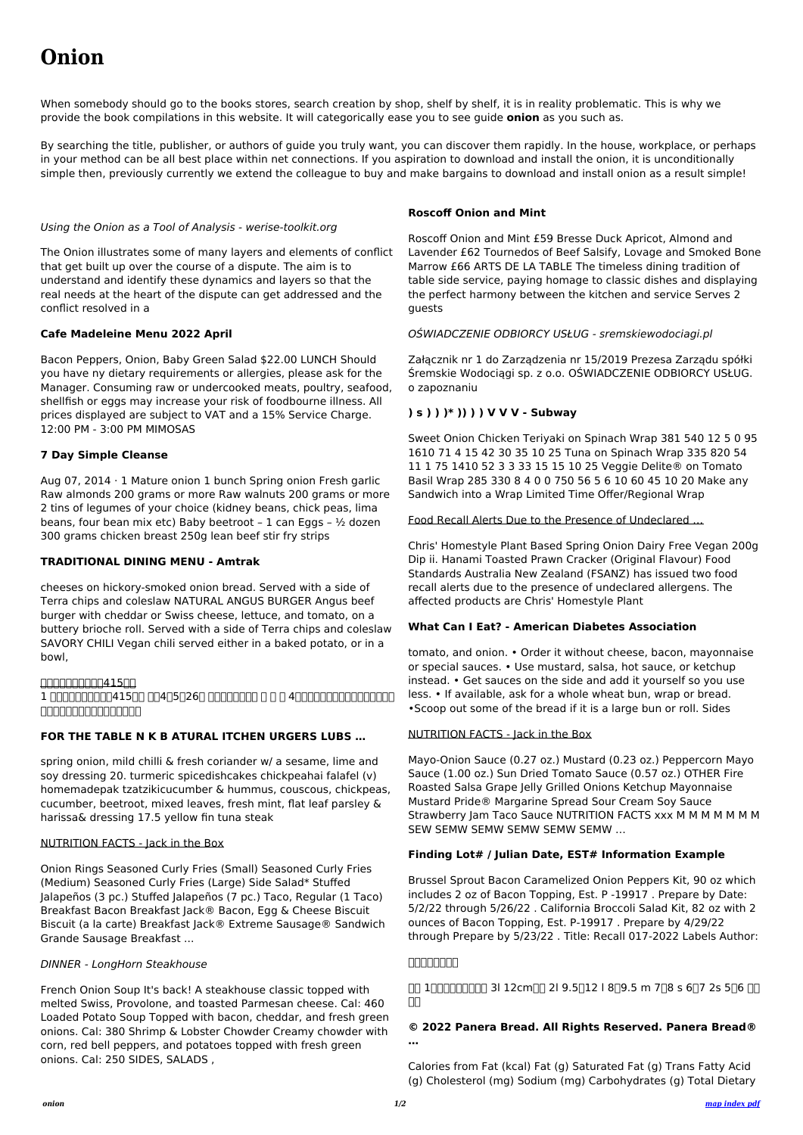# **Onion**

When somebody should go to the books stores, search creation by shop, shelf by shelf, it is in reality problematic. This is why we provide the book compilations in this website. It will categorically ease you to see guide **onion** as you such as.

By searching the title, publisher, or authors of guide you truly want, you can discover them rapidly. In the house, workplace, or perhaps in your method can be all best place within net connections. If you aspiration to download and install the onion, it is unconditionally simple then, previously currently we extend the colleague to buy and make bargains to download and install onion as a result simple!

#### Using the Onion as a Tool of Analysis - werise-toolkit.org

The Onion illustrates some of many layers and elements of conflict that get built up over the course of a dispute. The aim is to understand and identify these dynamics and layers so that the real needs at the heart of the dispute can get addressed and the conflict resolved in a

#### **Cafe Madeleine Menu 2022 April**

Bacon Peppers, Onion, Baby Green Salad \$22.00 LUNCH Should you have ny dietary requirements or allergies, please ask for the Manager. Consuming raw or undercooked meats, poultry, seafood, shellfish or eggs may increase your risk of foodbourne illness. All prices displayed are subject to VAT and a 15% Service Charge. 12:00 PM - 3:00 PM MIMOSAS

#### **7 Day Simple Cleanse**

Aug 07, 2014 · 1 Mature onion 1 bunch Spring onion Fresh garlic Raw almonds 200 grams or more Raw walnuts 200 grams or more 2 tins of legumes of your choice (kidney beans, chick peas, lima beans, four bean mix etc) Baby beetroot – 1 can Eggs – ½ dozen 300 grams chicken breast 250g lean beef stir fry strips

#### **TRADITIONAL DINING MENU - Amtrak**

cheeses on hickory-smoked onion bread. Served with a side of Terra chips and coleslaw NATURAL ANGUS BURGER Angus beef burger with cheddar or Swiss cheese, lettuce, and tomato, on a buttery brioche roll. Served with a side of Terra chips and coleslaw SAVORY CHILI Vegan chili served either in a baked potato, or in a bowl,

#### 0000000041500

## 1 00000000041500 004050260 00000000 0 0 0 4000000000000000 100000000000000

#### **FOR THE TABLE N K B ATURAL ITCHEN URGERS LUBS …**

spring onion, mild chilli & fresh coriander w/ a sesame, lime and soy dressing 20. turmeric spicedishcakes chickpeahai falafel (v) homemadepak tzatzikicucumber & hummus, couscous, chickpeas, cucumber, beetroot, mixed leaves, fresh mint, flat leaf parsley & harissa& dressing 17.5 yellow fin tuna steak

Mayo-Onion Sauce (0.27 oz.) Mustard (0.23 oz.) Peppercorn Mayo Sauce (1.00 oz.) Sun Dried Tomato Sauce (0.57 oz.) OTHER Fire Roasted Salsa Grape Jelly Grilled Onions Ketchup Mayonnaise Mustard Pride® Margarine Spread Sour Cream Soy Sauce Strawberry Jam Taco Sauce NUTRITION FACTS xxx M M M M M M M SEW SEMW SEMW SEMW SEMW ...

#### NUTRITION FACTS - Jack in the Box

Onion Rings Seasoned Curly Fries (Small) Seasoned Curly Fries (Medium) Seasoned Curly Fries (Large) Side Salad\* Stuffed Jalapeños (3 pc.) Stuffed Jalapeños (7 pc.) Taco, Regular (1 Taco) Breakfast Bacon Breakfast Jack® Bacon, Egg & Cheese Biscuit Biscuit (a la carte) Breakfast Jack® Extreme Sausage® Sandwich Grande Sausage Breakfast ...

> $\Box$  1 $\Box$  $\Box$  $\Box$  $\Box$  3l 12cm $\Box$  2l 9.5 $\Box$ 12 l 8 $\Box$ 9.5 m 7 $\Box$ 8 s 6 $\Box$ 7 2s 5 $\Box$ 6  $\Box$ 長玉

DINNER - LongHorn Steakhouse

French Onion Soup It's back! A steakhouse classic topped with melted Swiss, Provolone, and toasted Parmesan cheese. Cal: 460 Loaded Potato Soup Topped with bacon, cheddar, and fresh green onions. Cal: 380 Shrimp & Lobster Chowder Creamy chowder with corn, red bell peppers, and potatoes topped with fresh green onions. Cal: 250 SIDES, SALADS ,

### **Roscoff Onion and Mint**

Roscoff Onion and Mint £59 Bresse Duck Apricot, Almond and Lavender £62 Tournedos of Beef Salsify, Lovage and Smoked Bone Marrow £66 ARTS DE LA TABLE The timeless dining tradition of table side service, paying homage to classic dishes and displaying the perfect harmony between the kitchen and service Serves 2 guests

#### OŚWIADCZENIE ODBIORCY USŁUG - sremskiewodociagi.pl

Załącznik nr 1 do Zarządzenia nr 15/2019 Prezesa Zarządu spółki Śremskie Wodociągi sp. z o.o. OŚWIADCZENIE ODBIORCY USŁUG. o zapoznaniu

#### **) s ) ) )\* )) ) ) V V V - Subway**

Sweet Onion Chicken Teriyaki on Spinach Wrap 381 540 12 5 0 95 1610 71 4 15 42 30 35 10 25 Tuna on Spinach Wrap 335 820 54 11 1 75 1410 52 3 3 33 15 15 10 25 Veggie Delite® on Tomato Basil Wrap 285 330 8 4 0 0 750 56 5 6 10 60 45 10 20 Make any Sandwich into a Wrap Limited Time Offer/Regional Wrap

Food Recall Alerts Due to the Presence of Undeclared …

Chris' Homestyle Plant Based Spring Onion Dairy Free Vegan 200g Dip ii. Hanami Toasted Prawn Cracker (Original Flavour) Food Standards Australia New Zealand (FSANZ) has issued two food recall alerts due to the presence of undeclared allergens. The affected products are Chris' Homestyle Plant

#### **What Can I Eat? - American Diabetes Association**

tomato, and onion. • Order it without cheese, bacon, mayonnaise or special sauces. • Use mustard, salsa, hot sauce, or ketchup instead. • Get sauces on the side and add it yourself so you use less. • If available, ask for a whole wheat bun, wrap or bread. •Scoop out some of the bread if it is a large bun or roll. Sides

#### NUTRITION FACTS - Jack in the Box

### **Finding Lot# / Julian Date, EST# Information Example**

Brussel Sprout Bacon Caramelized Onion Peppers Kit, 90 oz which includes 2 oz of Bacon Topping, Est. P -19917 . Prepare by Date: 5/2/22 through 5/26/22 . California Broccoli Salad Kit, 82 oz with 2 ounces of Bacon Topping, Est. P-19917 . Prepare by 4/29/22 through Prepare by 5/23/22 . Title: Recall 017-2022 Labels Author:

### **たまねぎ出荷規格**

**© 2022 Panera Bread. All Rights Reserved. Panera Bread®**

**…**

Calories from Fat (kcal) Fat (g) Saturated Fat (g) Trans Fatty Acid (g) Cholesterol (mg) Sodium (mg) Carbohydrates (g) Total Dietary